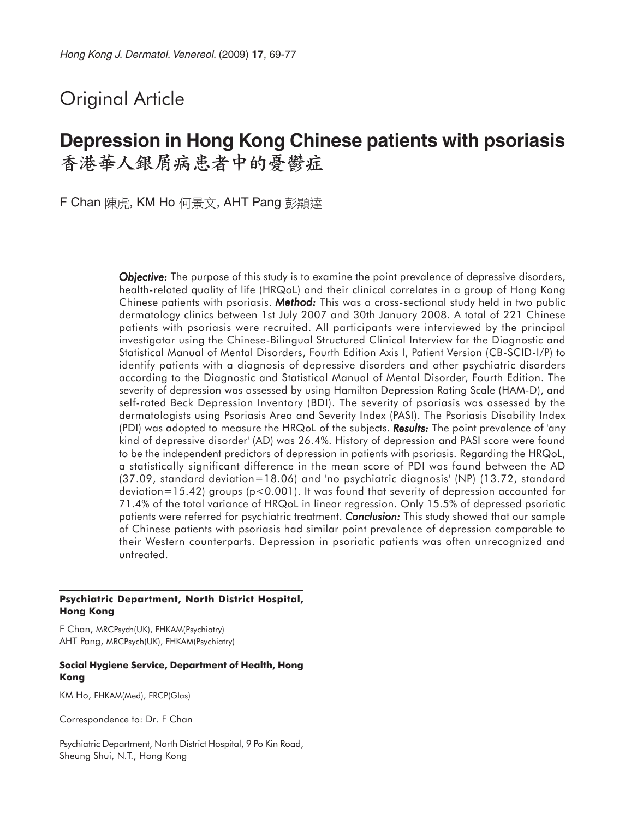# Original Article

# **Depression in Hong Kong Chinese patients with psoriasis** 香港華人銀屑病患者中的憂鬱症

F Chan 陳虎, KM Ho 何景文, AHT Pang 彭顯達

*Objective: Objective:* The purpose of this study is to examine the point prevalence of depressive disorders, health-related quality of life (HRQoL) and their clinical correlates in a group of Hong Kong Chinese patients with psoriasis. *Method:* This was a cross-sectional study held in two public dermatology clinics between 1st July 2007 and 30th January 2008. A total of 221 Chinese patients with psoriasis were recruited. All participants were interviewed by the principal investigator using the Chinese-Bilingual Structured Clinical Interview for the Diagnostic and Statistical Manual of Mental Disorders, Fourth Edition Axis I, Patient Version (CB-SCID-I/P) to identify patients with a diagnosis of depressive disorders and other psychiatric disorders according to the Diagnostic and Statistical Manual of Mental Disorder, Fourth Edition. The severity of depression was assessed by using Hamilton Depression Rating Scale (HAM-D), and self-rated Beck Depression Inventory (BDI). The severity of psoriasis was assessed by the dermatologists using Psoriasis Area and Severity Index (PASI). The Psoriasis Disability Index (PDI) was adopted to measure the HRQoL of the subjects. **Results:** The point prevalence of 'any kind of depressive disorder' (AD) was 26.4%. History of depression and PASI score were found to be the independent predictors of depression in patients with psoriasis. Regarding the HRQoL, a statistically significant difference in the mean score of PDI was found between the AD (37.09, standard deviation=18.06) and 'no psychiatric diagnosis' (NP) (13.72, standard deviation=15.42) groups ( $p$ <0.001). It was found that severity of depression accounted for 71.4% of the total variance of HRQoL in linear regression. Only 15.5% of depressed psoriatic patients were referred for psychiatric treatment. *Conclusion: Conclusion:* This study showed that our sample of Chinese patients with psoriasis had similar point prevalence of depression comparable to their Western counterparts. Depression in psoriatic patients was often unrecognized and untreated.

#### **Psychiatric Department, North District Hospital, Hong Kong**

F Chan, MRCPsych(UK), FHKAM(Psychiatry) AHT Pang, MRCPsych(UK), FHKAM(Psychiatry)

#### **Social Hygiene Service, Department of Health, Hong Kong**

KM Ho, FHKAM(Med), FRCP(Glas)

Correspondence to: Dr. F Chan

Psychiatric Department, North District Hospital, 9 Po Kin Road, Sheung Shui, N.T., Hong Kong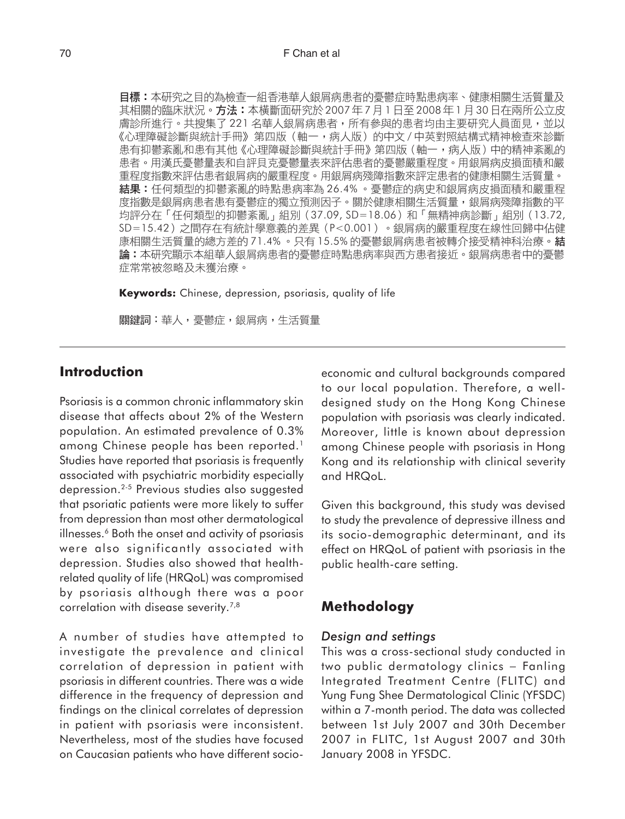目標:本研究之目的為檢查一組香港華人銀屑病患者的憂鬱症時點患病率、健康相關生活質量及 其相關的臨床狀況。方法:本橫斷面研究於 2007年7月1日至 2008年1月30日在兩所公立皮 膚診所進行。共搜集了221名華人銀屑病患者,所有參與的患者均由主要研究人員面見,並以 《心理障礙診斷與統計手冊》第四版(軸一,病人版)的中文 / 中英對照結構式精神檢查來診斷 患有抑鬱紊亂和患有其他《心理障礙診斷與統計手冊》第四版 (軸一,病人版)中的精神紊亂的 患者。用漢氏憂鬱量表和自評貝克憂鬱量表來評估患者的憂鬱嚴重程度。用銀屑病皮損面積和嚴 重程度指數來評估患者銀屑病的嚴重程度。用銀屑病殘障指數來評定患者的健康相關生活質量。 **結果:**任何類型的抑鬱紊亂的時點患病率為 26.4% 。憂鬱症的病史和銀屑病皮損面積和嚴重程 度指數是銀屑病患者患有憂鬱症的獨立預測因子。關於健康相關生活質量,銀屑病殘障指數的平 均評分在「任何類型的抑鬱紊亂」組別 (37.09, SD=18.06) 和「無精神病診斷」組別 (13.72, SD=15.42) 之間存在有統計學意義的差異 (P<0.001) 。銀屑病的嚴重程度在線性回歸中佔健 康相關生活質量的總方差的 71.4% 。只有 15.5% 的憂鬱銀屑病患者被轉介接受精神科治療。結 論:本研究顯示本組華人銀屑病患者的憂鬱症時點患病率與西方患者接近。銀屑病患者中的憂鬱 症常常被忽略及未獲治療。

**Keywords:** Chinese, depression, psoriasis, quality of life

關鍵詞:華人,憂鬱症,銀屑病,生活質量

## **Introduction**

Psoriasis is a common chronic inflammatory skin disease that affects about 2% of the Western population. An estimated prevalence of 0.3% among Chinese people has been reported.<sup>1</sup> Studies have reported that psoriasis is frequently associated with psychiatric morbidity especially depression.2-5 Previous studies also suggested that psoriatic patients were more likely to suffer from depression than most other dermatological illnesses.<sup>6</sup> Both the onset and activity of psoriasis were also significantly associated with depression. Studies also showed that healthrelated quality of life (HRQoL) was compromised by psoriasis although there was a poor correlation with disease severity.<sup>7,8</sup>

A number of studies have attempted to investigate the prevalence and clinical correlation of depression in patient with psoriasis in different countries. There was a wide difference in the frequency of depression and findings on the clinical correlates of depression in patient with psoriasis were inconsistent. Nevertheless, most of the studies have focused on Caucasian patients who have different socioeconomic and cultural backgrounds compared to our local population. Therefore, a welldesigned study on the Hong Kong Chinese population with psoriasis was clearly indicated. Moreover, little is known about depression among Chinese people with psoriasis in Hong Kong and its relationship with clinical severity and HRQoL.

Given this background, this study was devised to study the prevalence of depressive illness and its socio-demographic determinant, and its effect on HRQoL of patient with psoriasis in the public health-care setting.

# **Methodology**

#### *Design and settings*

This was a cross-sectional study conducted in two public dermatology clinics − Fanling Integrated Treatment Centre (FLITC) and Yung Fung Shee Dermatological Clinic (YFSDC) within a 7-month period. The data was collected between 1st July 2007 and 30th December 2007 in FLITC, 1st August 2007 and 30th January 2008 in YFSDC.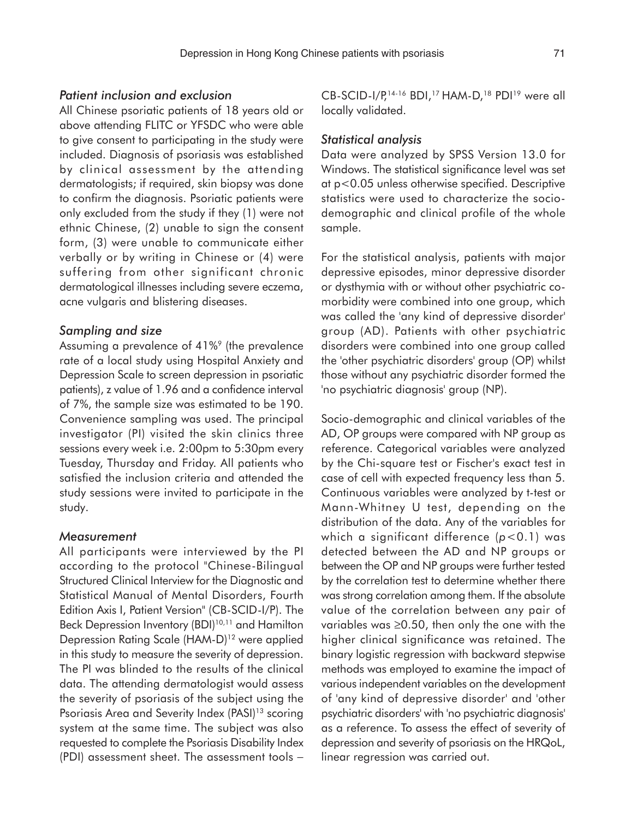### *Patient inclusion and exclusion*

All Chinese psoriatic patients of 18 years old or above attending FLITC or YFSDC who were able to give consent to participating in the study were included. Diagnosis of psoriasis was established by clinical assessment by the attending dermatologists; if required, skin biopsy was done to confirm the diagnosis. Psoriatic patients were only excluded from the study if they (1) were not ethnic Chinese, (2) unable to sign the consent form, (3) were unable to communicate either verbally or by writing in Chinese or (4) were suffering from other significant chronic dermatological illnesses including severe eczema, acne vulgaris and blistering diseases.

#### *Sampling and size*

Assuming a prevalence of 41%<sup>9</sup> (the prevalence rate of a local study using Hospital Anxiety and Depression Scale to screen depression in psoriatic patients), z value of 1.96 and a confidence interval of 7%, the sample size was estimated to be 190. Convenience sampling was used. The principal investigator (PI) visited the skin clinics three sessions every week i.e. 2:00pm to 5:30pm every Tuesday, Thursday and Friday. All patients who satisfied the inclusion criteria and attended the study sessions were invited to participate in the study.

#### *Measurement*

All participants were interviewed by the PI according to the protocol "Chinese-Bilingual Structured Clinical Interview for the Diagnostic and Statistical Manual of Mental Disorders, Fourth Edition Axis I, Patient Version" (CB-SCID-I/P). The Beck Depression Inventory (BDI)<sup>10,11</sup> and Hamilton Depression Rating Scale (HAM-D)12 were applied in this study to measure the severity of depression. The PI was blinded to the results of the clinical data. The attending dermatologist would assess the severity of psoriasis of the subject using the Psoriasis Area and Severity Index (PASI)<sup>13</sup> scoring system at the same time. The subject was also requested to complete the Psoriasis Disability Index (PDI) assessment sheet. The assessment tools −

CB-SCID-I/P,<sup>14-16</sup> BDI,<sup>17</sup> HAM-D,<sup>18</sup> PDI<sup>19</sup> were all locally validated.

#### *Statistical analysis*

Data were analyzed by SPSS Version 13.0 for Windows. The statistical significance level was set at p<0.05 unless otherwise specified. Descriptive statistics were used to characterize the sociodemographic and clinical profile of the whole sample.

For the statistical analysis, patients with major depressive episodes, minor depressive disorder or dysthymia with or without other psychiatric comorbidity were combined into one group, which was called the 'any kind of depressive disorder' group (AD). Patients with other psychiatric disorders were combined into one group called the 'other psychiatric disorders' group (OP) whilst those without any psychiatric disorder formed the 'no psychiatric diagnosis' group (NP).

Socio-demographic and clinical variables of the AD, OP groups were compared with NP group as reference. Categorical variables were analyzed by the Chi-square test or Fischer's exact test in case of cell with expected frequency less than 5. Continuous variables were analyzed by t-test or Mann-Whitney U test, depending on the distribution of the data. Any of the variables for which a significant difference (*p*<0.1) was detected between the AD and NP groups or between the OP and NP groups were further tested by the correlation test to determine whether there was strong correlation among them. If the absolute value of the correlation between any pair of variables was ≥0.50, then only the one with the higher clinical significance was retained. The binary logistic regression with backward stepwise methods was employed to examine the impact of various independent variables on the development of 'any kind of depressive disorder' and 'other psychiatric disorders' with 'no psychiatric diagnosis' as a reference. To assess the effect of severity of depression and severity of psoriasis on the HRQoL, linear regression was carried out.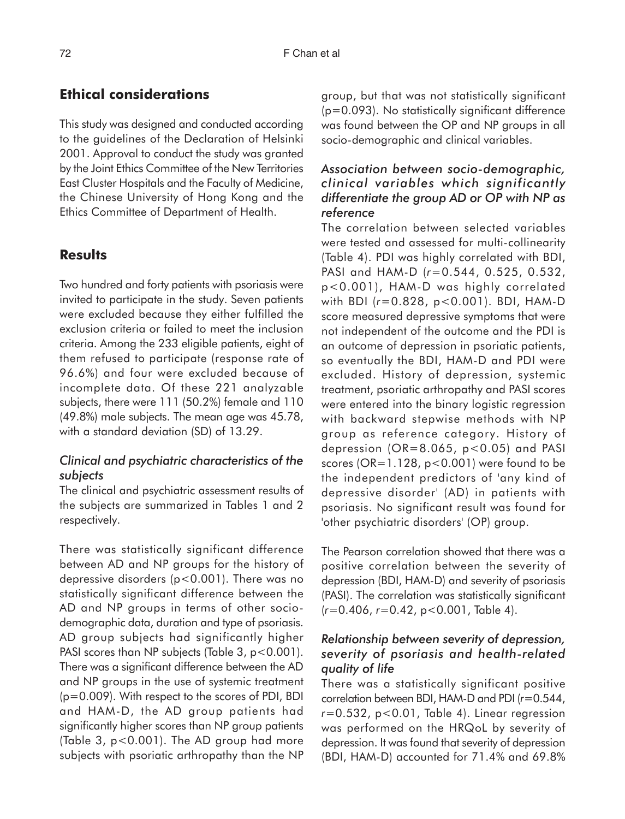# **Ethical considerations**

This study was designed and conducted according to the guidelines of the Declaration of Helsinki 2001. Approval to conduct the study was granted by the Joint Ethics Committee of the New Territories East Cluster Hospitals and the Faculty of Medicine, the Chinese University of Hong Kong and the Ethics Committee of Department of Health.

# **Results**

Two hundred and forty patients with psoriasis were invited to participate in the study. Seven patients were excluded because they either fulfilled the exclusion criteria or failed to meet the inclusion criteria. Among the 233 eligible patients, eight of them refused to participate (response rate of 96.6%) and four were excluded because of incomplete data. Of these 221 analyzable subjects, there were 111 (50.2%) female and 110 (49.8%) male subjects. The mean age was 45.78, with a standard deviation (SD) of 13.29.

## *Clinical and psychiatric characteristics of the subjects*

The clinical and psychiatric assessment results of the subjects are summarized in Tables 1 and 2 respectively.

There was statistically significant difference between AD and NP groups for the history of depressive disorders (p<0.001). There was no statistically significant difference between the AD and NP groups in terms of other sociodemographic data, duration and type of psoriasis. AD group subjects had significantly higher PASI scores than NP subjects (Table 3,  $p < 0.001$ ). There was a significant difference between the AD and NP groups in the use of systemic treatment (p=0.009). With respect to the scores of PDI, BDI and HAM-D, the AD group patients had significantly higher scores than NP group patients (Table 3, p<0.001). The AD group had more subjects with psoriatic arthropathy than the NP

group, but that was not statistically significant (p=0.093). No statistically significant difference was found between the OP and NP groups in all socio-demographic and clinical variables.

## *Association between socio-demographic, clinical variables which significantly differentiate the group AD or OP with NP as reference*

The correlation between selected variables were tested and assessed for multi-collinearity (Table 4). PDI was highly correlated with BDI, PASI and HAM-D (*r*=0.544, 0.525, 0.532, p<0.001), HAM-D was highly correlated with BDI (*r*=0.828, p<0.001). BDI, HAM-D score measured depressive symptoms that were not independent of the outcome and the PDI is an outcome of depression in psoriatic patients, so eventually the BDI, HAM-D and PDI were excluded. History of depression, systemic treatment, psoriatic arthropathy and PASI scores were entered into the binary logistic regression with backward stepwise methods with NP group as reference category. History of depression ( $OR=8.065$ ,  $p < 0.05$ ) and PASI scores (OR=1.128, p<0.001) were found to be the independent predictors of 'any kind of depressive disorder' (AD) in patients with psoriasis. No significant result was found for 'other psychiatric disorders' (OP) group.

The Pearson correlation showed that there was a positive correlation between the severity of depression (BDI, HAM-D) and severity of psoriasis (PASI). The correlation was statistically significant (*r*=0.406, *r*=0.42, p<0.001, Table 4).

## *Relationship between severity of depression, severity of psoriasis and health-related quality of life*

There was a statistically significant positive correlation between BDI, HAM-D and PDI (*r*=0.544, *r*=0.532, p<0.01, Table 4). Linear regression was performed on the HRQoL by severity of depression. It was found that severity of depression (BDI, HAM-D) accounted for 71.4% and 69.8%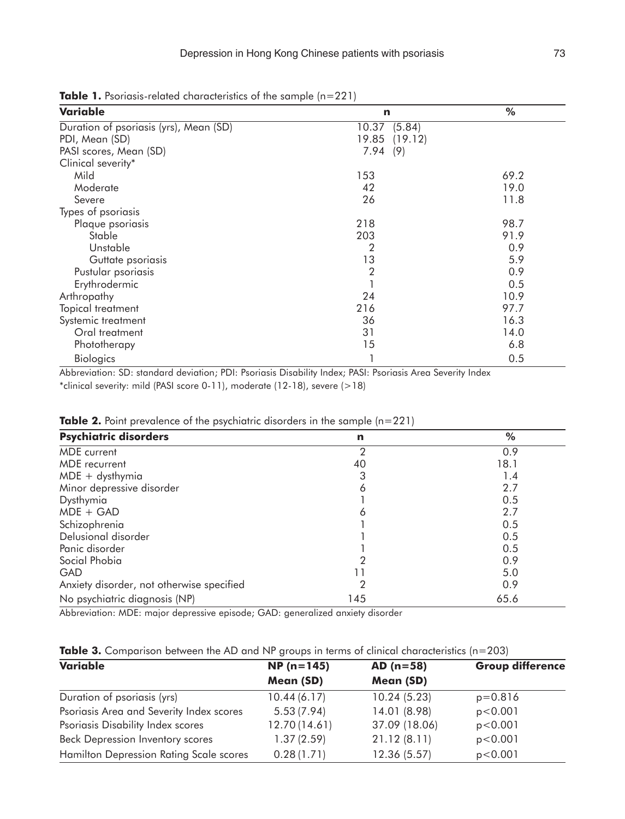**Table 1.** Psoriasis-related characteristics of the sample (n=221)

| Variable                               | n                | %    |
|----------------------------------------|------------------|------|
| Duration of psoriasis (yrs), Mean (SD) | (5.84)<br>10.37  |      |
| PDI, Mean (SD)                         | (19.12)<br>19.85 |      |
| PASI scores, Mean (SD)                 | 7.94<br>(9)      |      |
| Clinical severity*                     |                  |      |
| Mild                                   | 153              | 69.2 |
| Moderate                               | 42               | 19.0 |
| Severe                                 | 26               | 11.8 |
| Types of psoriasis                     |                  |      |
| Plaque psoriasis                       | 218              | 98.7 |
| Stable                                 | 203              | 91.9 |
| Unstable                               | $\overline{2}$   | 0.9  |
| Guttate psoriasis                      | 13               | 5.9  |
| Pustular psoriasis                     | $\overline{2}$   | 0.9  |
| Erythrodermic                          |                  | 0.5  |
| Arthropathy                            | 24               | 10.9 |
| Topical treatment                      | 216              | 97.7 |
| Systemic treatment                     | 36               | 16.3 |
| Oral treatment                         | 31               | 14.0 |
| Phototherapy                           | 15               | 6.8  |
| <b>Biologics</b>                       |                  | 0.5  |

Abbreviation: SD: standard deviation; PDI: Psoriasis Disability Index; PASI: Psoriasis Area Severity Index \*clinical severity: mild (PASI score 0-11), moderate (12-18), severe (>18)

| <b>Psychiatric disorders</b>              | n   | %    |
|-------------------------------------------|-----|------|
| MDE current                               |     | 0.9  |
| MDE recurrent                             | 40  | 18.1 |
| $MDE + dysthymia$                         | З   | 1.4  |
| Minor depressive disorder                 | 6   | 2.7  |
| Dysthymia                                 |     | 0.5  |
| $MDE + GAD$                               | 6   | 2.7  |
| Schizophrenia                             |     | 0.5  |
| Delusional disorder                       |     | 0.5  |
| Panic disorder                            |     | 0.5  |
| Social Phobia                             |     | 0.9  |
| <b>GAD</b>                                |     | 5.0  |
| Anxiety disorder, not otherwise specified | 2   | 0.9  |
| No psychiatric diagnosis (NP)             | 145 | 65.6 |

**Table 2.** Point prevalence of the psychiatric disorders in the sample (n=221)

Abbreviation: MDE: major depressive episode; GAD: generalized anxiety disorder

| <b>Table 3.</b> Comparison between the AD and NP groups in terms of clinical characteristics (n=203) |  |
|------------------------------------------------------------------------------------------------------|--|
|------------------------------------------------------------------------------------------------------|--|

| Variable                                       | $NP(n=145)$   | $AD (n=58)$   | <b>Group difference</b> |
|------------------------------------------------|---------------|---------------|-------------------------|
|                                                | Mean (SD)     | Mean (SD)     |                         |
| Duration of psoriasis (yrs)                    | 10.44(6.17)   | 10.24(5.23)   | $p=0.816$               |
| Psoriasis Area and Severity Index scores       | 5.53(7.94)    | 14.01 (8.98)  | p < 0.001               |
| Psoriasis Disability Index scores              | 12.70 (14.61) | 37.09 (18.06) | p < 0.001               |
| Beck Depression Inventory scores               | 1.37(2.59)    | 21.12(8.11)   | p < 0.001               |
| <b>Hamilton Depression Rating Scale scores</b> | 0.28(1.71)    | 12.36 (5.57)  | p < 0.001               |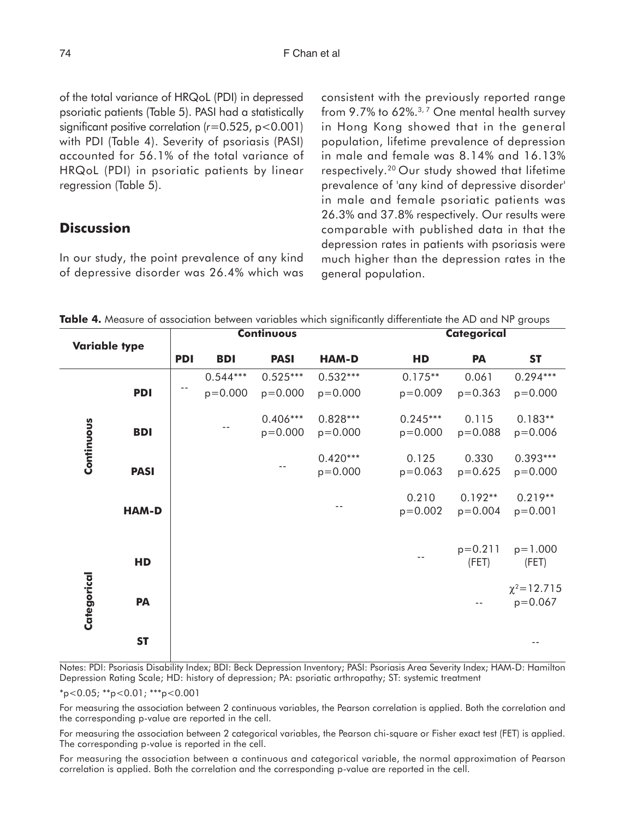of the total variance of HRQoL (PDI) in depressed psoriatic patients (Table 5). PASI had a statistically significant positive correlation (*r*=0.525, p<0.001) with PDI (Table 4). Severity of psoriasis (PASI) accounted for 56.1% of the total variance of HRQoL (PDI) in psoriatic patients by linear regression (Table 5).

# **Discussion**

 **Variable type**

In our study, the point prevalence of any kind of depressive disorder was 26.4% which was consistent with the previously reported range from 9.7% to 62%.<sup>3,7</sup> One mental health survey in Hong Kong showed that in the general population, lifetime prevalence of depression in male and female was 8.14% and 16.13% respectively.20 Our study showed that lifetime prevalence of 'any kind of depressive disorder' in male and female psoriatic patients was 26.3% and 37.8% respectively. Our results were comparable with published data in that the depression rates in patients with psoriasis were much higher than the depression rates in the general population.

**Table 4.** Measure of association between variables which significantly differentiate the AD and NP groups

**Continuous** Categorical

0.544\*\*\* 0.525\*\*\* 0.532\*\*\* 0.175\*\* 0.061 0.294\*\*\*

**PDI BDI PASI HAM-D HD PA ST**

|                                                                                                                                                                                                                          | <b>PDI</b>                                          |  | $p = 0.000$ | $p = 0.000$               | $p = 0.000$               | $p = 0.009$                                                                                                                                                                                                                          | $p = 0.363$              | $p = 0.000$                      |
|--------------------------------------------------------------------------------------------------------------------------------------------------------------------------------------------------------------------------|-----------------------------------------------------|--|-------------|---------------------------|---------------------------|--------------------------------------------------------------------------------------------------------------------------------------------------------------------------------------------------------------------------------------|--------------------------|----------------------------------|
|                                                                                                                                                                                                                          | <b>BDI</b>                                          |  |             | $0.406***$<br>$p = 0.000$ | $0.828***$<br>$p = 0.000$ | $0.245***$<br>$p = 0.000$                                                                                                                                                                                                            | 0.115<br>$p = 0.088$     | $0.183**$<br>$p = 0.006$         |
| Continuous                                                                                                                                                                                                               | <b>PASI</b>                                         |  |             |                           | $0.420***$<br>$p = 0.000$ | 0.125<br>$p = 0.063$                                                                                                                                                                                                                 | 0.330<br>$p=0.625$       | $0.393***$<br>$p = 0.000$        |
|                                                                                                                                                                                                                          | <b>HAM-D</b>                                        |  |             |                           |                           | 0.210<br>$p=0.002$                                                                                                                                                                                                                   | $0.192**$<br>$p = 0.004$ | $0.219**$<br>$p = 0.001$         |
|                                                                                                                                                                                                                          | HD                                                  |  |             |                           |                           |                                                                                                                                                                                                                                      | $p=0.211$<br>(FET)       | $p=1.000$<br>(FET)               |
| Categorical                                                                                                                                                                                                              | PA                                                  |  |             |                           |                           |                                                                                                                                                                                                                                      |                          | $\chi^2$ = 12.715<br>$p = 0.067$ |
|                                                                                                                                                                                                                          | <b>ST</b>                                           |  |             |                           |                           |                                                                                                                                                                                                                                      |                          |                                  |
|                                                                                                                                                                                                                          |                                                     |  |             |                           |                           | Notes: PDI: Psoriasis Disability Index; BDI: Beck Depression Inventory; PASI: Psoriasis Area Severity Index; HAM-D: Hamilto<br>Depression Rating Scale; HD: history of depression; PA: psoriatic arthropathy; ST: systemic treatment |                          |                                  |
|                                                                                                                                                                                                                          | $*_{p<0.05;}$ $*_{p<0.01;}$ $*_{p<0.001}$           |  |             |                           |                           |                                                                                                                                                                                                                                      |                          |                                  |
|                                                                                                                                                                                                                          | the corresponding p-value are reported in the cell. |  |             |                           |                           | For measuring the association between 2 continuous variables, the Pearson correlation is applied. Both the correlation an                                                                                                            |                          |                                  |
|                                                                                                                                                                                                                          | The corresponding p-value is reported in the cell.  |  |             |                           |                           | For measuring the association between 2 categorical variables, the Pearson chi-square or Fisher exact test (FET) is applied                                                                                                          |                          |                                  |
| For measuring the association between a continuous and categorical variable, the normal approximation of Pearsoi<br>correlation is applied. Both the correlation and the corresponding p-value are reported in the cell. |                                                     |  |             |                           |                           |                                                                                                                                                                                                                                      |                          |                                  |

For measuring the association between a continuous and categorical variable, the normal approximation of Pearson<br>correlation is applied. Both the correlation and the corresponding p-value are reported in the cell.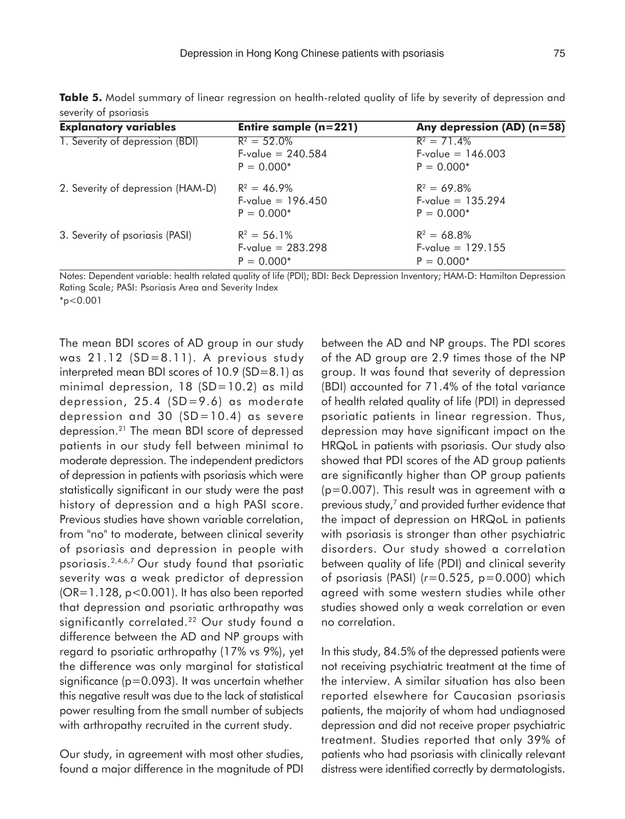| <b>Explanatory variables</b>      | Entire sample $(n=221)$    | Any depression (AD) (n=58) |
|-----------------------------------|----------------------------|----------------------------|
| 1. Severity of depression (BDI)   | $R^2 = 52.0\%$             | $R^2 = 71.4\%$             |
|                                   | $F\text{-value} = 240.584$ | $F\text{-value} = 146.003$ |
|                                   | $P = 0.000*$               | $P = 0.000*$               |
| 2. Severity of depression (HAM-D) | $R^2 = 46.9\%$             | $R^2 = 69.8\%$             |
|                                   | $F\text{-value} = 196.450$ | $F\text{-value} = 135.294$ |
|                                   | $P = 0.000*$               | $P = 0.000*$               |
| 3. Severity of psoriasis (PASI)   | $R^2 = 56.1\%$             | $R^2 = 68.8\%$             |
|                                   | $F\text{-value} = 283.298$ | $F\text{-value} = 129.155$ |
|                                   | $P = 0.000*$               | $P = 0.000*$               |

**Table 5.** Model summary of linear regression on health-related quality of life by severity of depression and severity of psoriasis

Notes: Dependent variable: health related quality of life (PDI); BDI: Beck Depression Inventory; HAM-D: Hamilton Depression Rating Scale; PASI: Psoriasis Area and Severity Index

 $*_{p<0.001}$ 

The mean BDI scores of AD group in our study was 21.12 (SD=8.11). A previous study interpreted mean BDI scores of 10.9 (SD=8.1) as minimal depression, 18 (SD=10.2) as mild depression, 25.4 (SD=9.6) as moderate depression and 30  $(SD=10.4)$  as severe depression.21 The mean BDI score of depressed patients in our study fell between minimal to moderate depression. The independent predictors of depression in patients with psoriasis which were statistically significant in our study were the past history of depression and a high PASI score. Previous studies have shown variable correlation, from "no" to moderate, between clinical severity of psoriasis and depression in people with psoriasis.2,4,6,7 Our study found that psoriatic severity was a weak predictor of depression (OR=1.128, p<0.001). It has also been reported that depression and psoriatic arthropathy was significantly correlated.<sup>22</sup> Our study found a difference between the AD and NP groups with regard to psoriatic arthropathy (17% vs 9%), yet the difference was only marginal for statistical significance (p=0.093). It was uncertain whether this negative result was due to the lack of statistical power resulting from the small number of subjects with arthropathy recruited in the current study.

Our study, in agreement with most other studies, found a major difference in the magnitude of PDI between the AD and NP groups. The PDI scores of the AD group are 2.9 times those of the NP group. It was found that severity of depression (BDI) accounted for 71.4% of the total variance of health related quality of life (PDI) in depressed psoriatic patients in linear regression. Thus, depression may have significant impact on the HRQoL in patients with psoriasis. Our study also showed that PDI scores of the AD group patients are significantly higher than OP group patients (p=0.007). This result was in agreement with a previous study,<sup>7</sup> and provided further evidence that the impact of depression on HRQoL in patients with psoriasis is stronger than other psychiatric disorders. Our study showed a correlation between quality of life (PDI) and clinical severity of psoriasis (PASI) (*r*=0.525, p=0.000) which agreed with some western studies while other studies showed only a weak correlation or even no correlation.

In this study, 84.5% of the depressed patients were not receiving psychiatric treatment at the time of the interview. A similar situation has also been reported elsewhere for Caucasian psoriasis patients, the majority of whom had undiagnosed depression and did not receive proper psychiatric treatment. Studies reported that only 39% of patients who had psoriasis with clinically relevant distress were identified correctly by dermatologists.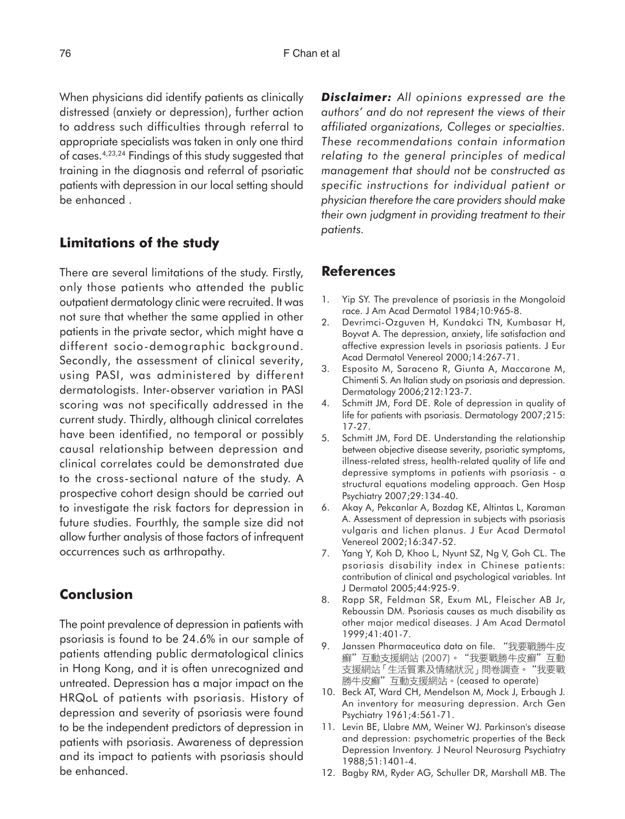When physicians did identify patients as clinically distressed (anxiety or depression), further action to address such difficulties through referral to appropriate specialists was taken in only one third of cases.4,23,24 Findings of this study suggested that training in the diagnosis and referral of psoriatic patients with depression in our local setting should be enhanced .

## **Limitations of the study**

There are several limitations of the study. Firstly, only those patients who attended the public outpatient dermatology clinic were recruited. It was not sure that whether the same applied in other patients in the private sector, which might have a different socio-demographic background. Secondly, the assessment of clinical severity, using PASI, was administered by different dermatologists. Inter-observer variation in PASI scoring was not specifically addressed in the current study. Thirdly, although clinical correlates have been identified, no temporal or possibly causal relationship between depression and clinical correlates could be demonstrated due to the cross-sectional nature of the study. A prospective cohort design should be carried out to investigate the risk factors for depression in future studies. Fourthly, the sample size did not allow further analysis of those factors of infrequent occurrences such as arthropathy.

# **Conclusion**

The point prevalence of depression in patients with psoriasis is found to be 24.6% in our sample of patients attending public dermatological clinics in Hong Kong, and it is often unrecognized and untreated. Depression has a major impact on the HRQoL of patients with psoriasis. History of depression and severity of psoriasis were found to be the independent predictors of depression in patients with psoriasis. Awareness of depression and its impact to patients with psoriasis should be enhanced.

*Disclaimer: All opinions expressed are the authors' and do not represent the views of their affiliated organizations, Colleges or specialties. These recommendations contain information relating to the general principles of medical management that should not be constructed as specific instructions for individual patient or physician therefore the care providers should make their own judgment in providing treatment to their patients.*

## **References**

- 1. Yip SY. The prevalence of psoriasis in the Mongoloid race. J Am Acad Dermatol 1984;10:965-8.
- 2. Devrimci-Ozguven H, Kundakci TN, Kumbasar H, Boyvat A. The depression, anxiety, life satisfaction and affective expression levels in psoriasis patients. J Eur Acad Dermatol Venereol 2000;14:267-71.
- 3. Esposito M, Saraceno R, Giunta A, Maccarone M, Chimenti S. An Italian study on psoriasis and depression. Dermatology 2006;212:123-7.
- 4. Schmitt JM, Ford DE. Role of depression in quality of life for patients with psoriasis. Dermatology 2007;215: 17-27.
- 5. Schmitt JM, Ford DE. Understanding the relationship between objective disease severity, psoriatic symptoms, illness-related stress, health-related quality of life and depressive symptoms in patients with psoriasis - a structural equations modeling approach. Gen Hosp Psychiatry 2007;29:134-40.
- 6. Akay A, Pekcanlar A, Bozdag KE, Altintas L, Karaman A. Assessment of depression in subjects with psoriasis vulgaris and lichen planus. J Eur Acad Dermatol Venereol 2002;16:347-52.
- 7. Yang Y, Koh D, Khoo L, Nyunt SZ, Ng V, Goh CL. The psoriasis disability index in Chinese patients: contribution of clinical and psychological variables. Int J Dermatol 2005;44:925-9.
- 8. Rapp SR, Feldman SR, Exum ML, Fleischer AB Jr, Reboussin DM. Psoriasis causes as much disability as other major medical diseases. J Am Acad Dermatol 1999;41:401-7.
- 9. Janssen Pharmaceutica data on file. "我要戰勝牛皮 癬"互動支援網站 (2007)。"我要戰勝牛皮癬"互動 支援網站 「生活質素及情緒狀況 」問卷調查。 "我要戰 天然的站<br>勝牛皮癬"互動支援網站。(ceased to operate)
- 10. Beck AT, Ward CH, Mendelson M, Mock J, Erbaugh J. An inventory for measuring depression. Arch Gen Psychiatry 1961;4:561-71.
- 11. Levin BE, Llabre MM, Weiner WJ. Parkinson's disease and depression: psychometric properties of the Beck Depression Inventory. J Neurol Neurosurg Psychiatry 1988;51:1401-4.
- 12. Bagby RM, Ryder AG, Schuller DR, Marshall MB. The